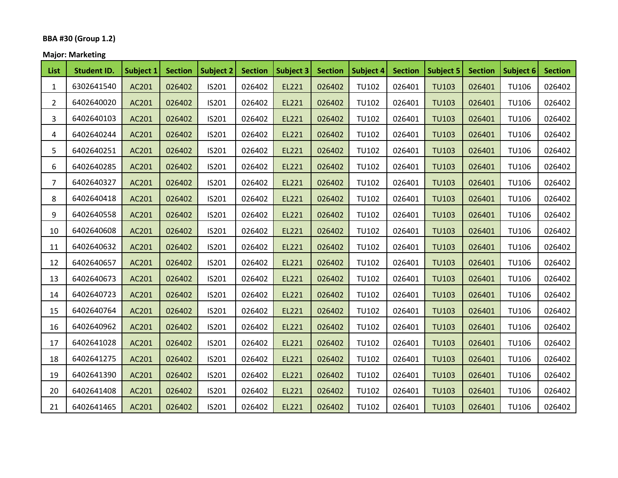## **BBA #30 (Group 1.2)**

## **Major: Marketing**

| <b>List</b> | <b>Student ID.</b> | Subject 1 | <b>Section</b> | Subject 2 | <b>Section</b> | Subject 3 | <b>Section</b> | Subject 4    | <b>Section</b> | <b>Subject 5</b> | <b>Section</b> | Subject 6    | <b>Section</b> |
|-------------|--------------------|-----------|----------------|-----------|----------------|-----------|----------------|--------------|----------------|------------------|----------------|--------------|----------------|
| 1           | 6302641540         | AC201     | 026402         | IS201     | 026402         | EL221     | 026402         | <b>TU102</b> | 026401         | <b>TU103</b>     | 026401         | <b>TU106</b> | 026402         |
| $2^{\circ}$ | 6402640020         | AC201     | 026402         | IS201     | 026402         | EL221     | 026402         | <b>TU102</b> | 026401         | <b>TU103</b>     | 026401         | <b>TU106</b> | 026402         |
| 3           | 6402640103         | AC201     | 026402         | IS201     | 026402         | EL221     | 026402         | TU102        | 026401         | <b>TU103</b>     | 026401         | <b>TU106</b> | 026402         |
| 4           | 6402640244         | AC201     | 026402         | IS201     | 026402         | EL221     | 026402         | <b>TU102</b> | 026401         | <b>TU103</b>     | 026401         | <b>TU106</b> | 026402         |
| 5           | 6402640251         | AC201     | 026402         | IS201     | 026402         | EL221     | 026402         | <b>TU102</b> | 026401         | <b>TU103</b>     | 026401         | <b>TU106</b> | 026402         |
| 6           | 6402640285         | AC201     | 026402         | IS201     | 026402         | EL221     | 026402         | <b>TU102</b> | 026401         | <b>TU103</b>     | 026401         | <b>TU106</b> | 026402         |
| 7           | 6402640327         | AC201     | 026402         | IS201     | 026402         | EL221     | 026402         | TU102        | 026401         | <b>TU103</b>     | 026401         | <b>TU106</b> | 026402         |
| 8           | 6402640418         | AC201     | 026402         | IS201     | 026402         | EL221     | 026402         | <b>TU102</b> | 026401         | <b>TU103</b>     | 026401         | <b>TU106</b> | 026402         |
| 9           | 6402640558         | AC201     | 026402         | IS201     | 026402         | EL221     | 026402         | <b>TU102</b> | 026401         | <b>TU103</b>     | 026401         | <b>TU106</b> | 026402         |
| 10          | 6402640608         | AC201     | 026402         | IS201     | 026402         | EL221     | 026402         | <b>TU102</b> | 026401         | <b>TU103</b>     | 026401         | <b>TU106</b> | 026402         |
| 11          | 6402640632         | AC201     | 026402         | IS201     | 026402         | EL221     | 026402         | <b>TU102</b> | 026401         | <b>TU103</b>     | 026401         | <b>TU106</b> | 026402         |
| 12          | 6402640657         | AC201     | 026402         | IS201     | 026402         | EL221     | 026402         | <b>TU102</b> | 026401         | <b>TU103</b>     | 026401         | <b>TU106</b> | 026402         |
| 13          | 6402640673         | AC201     | 026402         | IS201     | 026402         | EL221     | 026402         | <b>TU102</b> | 026401         | <b>TU103</b>     | 026401         | <b>TU106</b> | 026402         |
| 14          | 6402640723         | AC201     | 026402         | IS201     | 026402         | EL221     | 026402         | TU102        | 026401         | <b>TU103</b>     | 026401         | <b>TU106</b> | 026402         |
| 15          | 6402640764         | AC201     | 026402         | IS201     | 026402         | EL221     | 026402         | <b>TU102</b> | 026401         | <b>TU103</b>     | 026401         | <b>TU106</b> | 026402         |
| 16          | 6402640962         | AC201     | 026402         | IS201     | 026402         | EL221     | 026402         | <b>TU102</b> | 026401         | <b>TU103</b>     | 026401         | <b>TU106</b> | 026402         |
| 17          | 6402641028         | AC201     | 026402         | IS201     | 026402         | EL221     | 026402         | <b>TU102</b> | 026401         | <b>TU103</b>     | 026401         | <b>TU106</b> | 026402         |
| 18          | 6402641275         | AC201     | 026402         | IS201     | 026402         | EL221     | 026402         | <b>TU102</b> | 026401         | <b>TU103</b>     | 026401         | <b>TU106</b> | 026402         |
| 19          | 6402641390         | AC201     | 026402         | IS201     | 026402         | EL221     | 026402         | <b>TU102</b> | 026401         | <b>TU103</b>     | 026401         | <b>TU106</b> | 026402         |
| 20          | 6402641408         | AC201     | 026402         | IS201     | 026402         | EL221     | 026402         | <b>TU102</b> | 026401         | <b>TU103</b>     | 026401         | <b>TU106</b> | 026402         |
| 21          | 6402641465         | AC201     | 026402         | IS201     | 026402         | EL221     | 026402         | <b>TU102</b> | 026401         | <b>TU103</b>     | 026401         | <b>TU106</b> | 026402         |